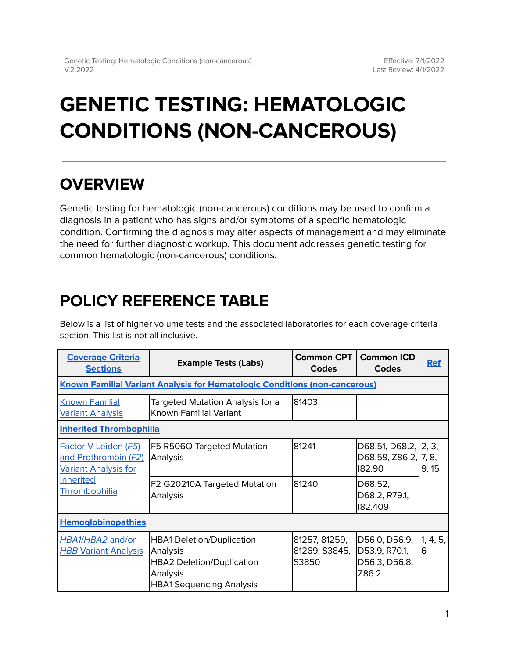# **GENETIC TESTING: HEMATOLOGIC CONDITIONS (NON-CANCEROUS)**

## **OVERVIEW**

Genetic testing for hematologic (non-cancerous) conditions may be used to confirm a diagnosis in a patient who has signs and/or symptoms of a specific hematologic condition. Confirming the diagnosis may alter aspects of management and may eliminate the need for further diagnostic workup. This document addresses genetic testing for common hematologic (non-cancerous) conditions.

## <span id="page-0-0"></span>**POLICY REFERENCE TABLE**

Below is a list of higher volume tests and the associated laboratories for each coverage criteria section. This list is not all inclusive.

| <b>Coverage Criteria</b><br><b>Sections</b>                                                                      | <b>Example Tests (Labs)</b>                                                                                                     | <b>Common CPT</b><br><b>Codes</b>       | <b>Common ICD</b><br><b>Codes</b>                        | <b>Ref</b>    |  |  |  |  |
|------------------------------------------------------------------------------------------------------------------|---------------------------------------------------------------------------------------------------------------------------------|-----------------------------------------|----------------------------------------------------------|---------------|--|--|--|--|
| <b>Known Familial Variant Analysis for Hematologic Conditions (non-cancerous)</b>                                |                                                                                                                                 |                                         |                                                          |               |  |  |  |  |
| <b>Known Familial</b><br><b>Variant Analysis</b>                                                                 | Targeted Mutation Analysis for a<br>Known Familial Variant                                                                      | 81403                                   |                                                          |               |  |  |  |  |
| <b>Inherited Thrombophilia</b>                                                                                   |                                                                                                                                 |                                         |                                                          |               |  |  |  |  |
| Factor V Leiden (F5)<br>and Prothrombin (F2)<br><b>Variant Analysis for</b><br><b>Inherited</b><br>Thrombophilia | F5 R506Q Targeted Mutation<br>Analysis                                                                                          | 81241                                   | D68.51, D68.2, 2, 3,<br>D68.59, Z86.2, 7, 8,<br>182.90   | 9, 15         |  |  |  |  |
|                                                                                                                  | F2 G20210A Targeted Mutation<br>Analysis                                                                                        | 81240                                   | D68.52,<br>D68.2, R79.1,<br>182.409                      |               |  |  |  |  |
| <b>Hemoglobinopathies</b>                                                                                        |                                                                                                                                 |                                         |                                                          |               |  |  |  |  |
| HBA1/HBA2 and/or<br><b>HBB Variant Analysis</b>                                                                  | <b>HBA1 Deletion/Duplication</b><br>Analysis<br><b>HBA2 Deletion/Duplication</b><br>Analysis<br><b>HBA1 Sequencing Analysis</b> | 81257, 81259,<br>81269, S3845,<br>S3850 | D56.0, D56.9,<br>D53.9, R70.1,<br>D56.3, D56.8,<br>Z86.2 | 1, 4, 5,<br>6 |  |  |  |  |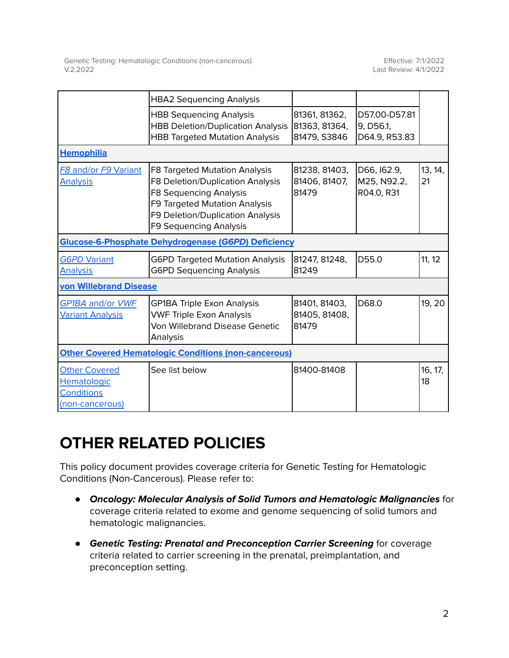|                                                                      | <b>HBA2 Sequencing Analysis</b>                                                                                                                                                            |                                                |                                             |               |
|----------------------------------------------------------------------|--------------------------------------------------------------------------------------------------------------------------------------------------------------------------------------------|------------------------------------------------|---------------------------------------------|---------------|
|                                                                      | <b>HBB Sequencing Analysis</b><br><b>HBB Deletion/Duplication Analysis</b><br><b>HBB Targeted Mutation Analysis</b>                                                                        | 81361, 81362,<br>81363, 81364,<br>81479, S3846 | D57.00-D57.81<br>9, D56.1,<br>D64.9, R53.83 |               |
| <b>Hemophilia</b>                                                    |                                                                                                                                                                                            |                                                |                                             |               |
| <b>F8 and/or F9 Variant</b><br><b>Analysis</b>                       | F8 Targeted Mutation Analysis<br>F8 Deletion/Duplication Analysis<br>F8 Sequencing Analysis<br>F9 Targeted Mutation Analysis<br>F9 Deletion/Duplication Analysis<br>F9 Sequencing Analysis | 81238, 81403,<br>81406, 81407,<br>81479        | D66, I62.9,<br>M25, N92.2,<br>R04.0, R31    | 13, 14,<br>21 |
| <b>Glucose-6-Phosphate Dehydrogenase (G6PD) Deficiency</b>           |                                                                                                                                                                                            |                                                |                                             |               |
| <b>G6PD Variant</b><br><b>Analysis</b>                               | <b>G6PD Targeted Mutation Analysis</b><br><b>G6PD Sequencing Analysis</b>                                                                                                                  | 81247, 81248,<br>81249                         | D55.0                                       | 11, 12        |
| von Willebrand Disease                                               |                                                                                                                                                                                            |                                                |                                             |               |
| GP1BA and/or VWF<br><b>Variant Analysis</b>                          | <b>GP1BA Triple Exon Analysis</b><br><b>VWF Triple Exon Analysis</b><br><b>Von Willebrand Disease Genetic</b><br>Analysis                                                                  | 81401, 81403,<br>81405, 81408,<br>81479        | D68.0                                       | 19, 20        |
| <b>Other Covered Hematologic Conditions (non-cancerous)</b>          |                                                                                                                                                                                            |                                                |                                             |               |
| <b>Other Covered</b><br>Hematologic<br>Conditions<br>(non-cancerous) | See list below                                                                                                                                                                             | 81400-81408                                    |                                             | 16, 17,<br>18 |

## **OTHER RELATED POLICIES**

This policy document provides coverage criteria for Genetic Testing for Hematologic Conditions (Non-Cancerous). Please refer to:

- **Oncology: Molecular Analysis of Solid Tumors and Hematologic Malignancies** for coverage criteria related to exome and genome sequencing of solid tumors and hematologic malignancies.
- **Genetic Testing: Prenatal and Preconception Carrier Screening** for coverage criteria related to carrier screening in the prenatal, preimplantation, and preconception setting.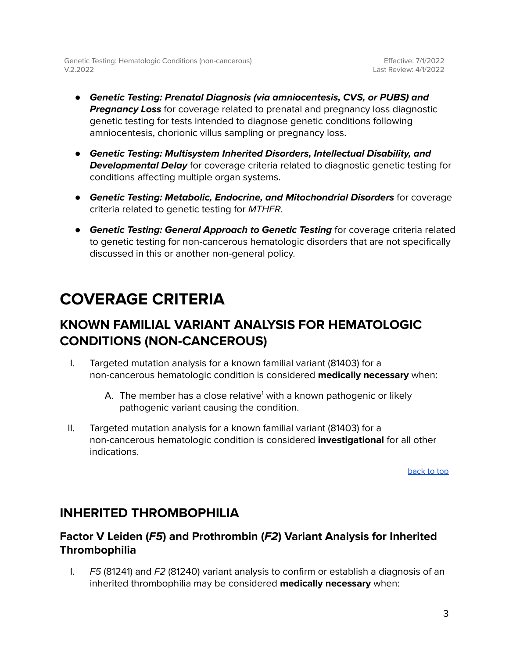- **Genetic Testing: Prenatal Diagnosis (via amniocentesis, CVS, or PUBS) and Pregnancy Loss** for coverage related to prenatal and pregnancy loss diagnostic genetic testing for tests intended to diagnose genetic conditions following amniocentesis, chorionic villus sampling or pregnancy loss.
- **Genetic Testing: Multisystem Inherited Disorders, Intellectual Disability, and Developmental Delay** for coverage criteria related to diagnostic genetic testing for conditions affecting multiple organ systems.
- **● Genetic Testing: Metabolic, Endocrine, and Mitochondrial Disorders** for coverage criteria related to genetic testing for MTHFR.
- **● Genetic Testing: General Approach to Genetic Testing** for coverage criteria related to genetic testing for non-cancerous hematologic disorders that are not specifically discussed in this or another non-general policy.

## <span id="page-2-0"></span>**COVERAGE CRITERIA**

### <span id="page-2-1"></span>**KNOWN FAMILIAL VARIANT ANALYSIS FOR HEMATOLOGIC CONDITIONS (NON-CANCEROUS)**

- I. Targeted mutation analysis for a known familial variant (81403) for a non-cancerous hematologic condition is considered **medically necessary** when:
	- A. The member has a close relative<sup>1</sup> with a known pathogenic or likely pathogenic variant causing the condition.
- II. Targeted mutation analysis for a known familial variant (81403) for a non-cancerous hematologic condition is considered **investigational** for all other indications.

[back](#page-0-0) to top

### <span id="page-2-2"></span>**INHERITED THROMBOPHILIA**

### <span id="page-2-3"></span>**Factor V Leiden (F5) and Prothrombin (F2) Variant Analysis for Inherited Thrombophilia**

I. F5 (81241) and F2 (81240) variant analysis to confirm or establish a diagnosis of an inherited thrombophilia may be considered **medically necessary** when: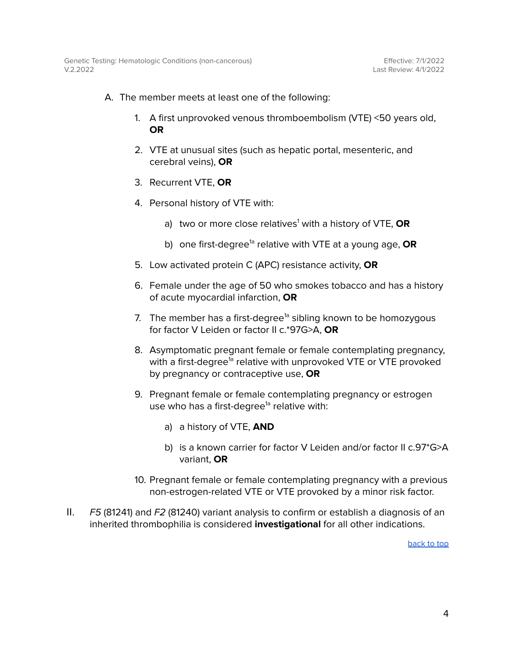- A. The member meets at least one of the following:
	- 1. A first unprovoked venous thromboembolism (VTE) <50 years old, **OR**
	- 2. VTE at unusual sites (such as hepatic portal, mesenteric, and cerebral veins), **OR**
	- 3. Recurrent VTE, **OR**
	- 4. Personal history of VTE with:
		- a) two or more close relatives <sup>1</sup> with a history of VTE, **OR**
		- b) one first-degree<sup>1a</sup> relative with VTE at a young age, **OR**
	- 5. Low activated protein C (APC) resistance activity, **OR**
	- 6. Female under the age of 50 who smokes tobacco and has a history of acute myocardial infarction, **OR**
	- 7. The member has a first-degree<sup>1a</sup> sibling known to be homozygous for factor V Leiden or factor II c.\*97G>A, **OR**
	- 8. Asymptomatic pregnant female or female contemplating pregnancy, with a first-degree<sup>1a</sup> relative with unprovoked VTE or VTE provoked by pregnancy or contraceptive use, **OR**
	- 9. Pregnant female or female contemplating pregnancy or estrogen use who has a first-degree<sup>1a</sup> relative with:
		- a) a history of VTE, **AND**
		- b) is a known carrier for factor V Leiden and/or factor II c.97\*G>A variant, **OR**
	- 10. Pregnant female or female contemplating pregnancy with a previous non-estrogen-related VTE or VTE provoked by a minor risk factor.
- II. F5 (81241) and F2 (81240) variant analysis to confirm or establish a diagnosis of an inherited thrombophilia is considered **investigational** for all other indications.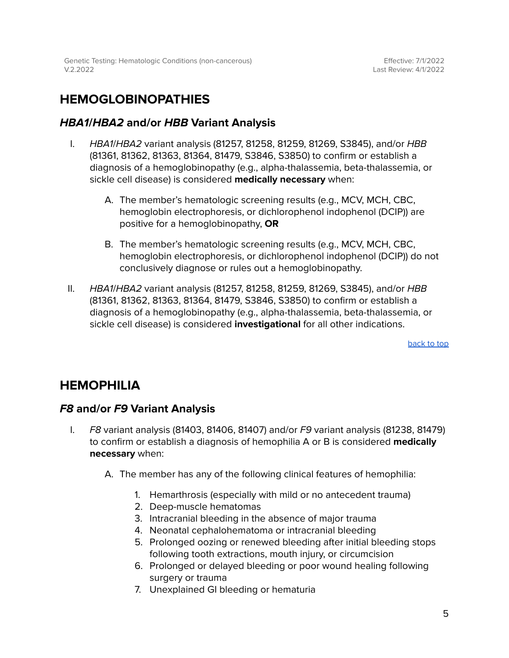### <span id="page-4-0"></span>**HEMOGLOBINOPATHIES**

### <span id="page-4-1"></span>**HBA1/HBA2 and/or HBB Variant Analysis**

- I. HBA1/HBA2 variant analysis (81257, 81258, 81259, 81269, S3845), and/or HBB (81361, 81362, 81363, 81364, 81479, S3846, S3850) to confirm or establish a diagnosis of a hemoglobinopathy (e.g., alpha-thalassemia, beta-thalassemia, or sickle cell disease) is considered **medically necessary** when:
	- A. The member's hematologic screening results (e.g., MCV, MCH, CBC, hemoglobin electrophoresis, or dichlorophenol indophenol (DCIP)) are positive for a hemoglobinopathy, **OR**
	- B. The member's hematologic screening results (e.g., MCV, MCH, CBC, hemoglobin electrophoresis, or dichlorophenol indophenol (DCIP)) do not conclusively diagnose or rules out a hemoglobinopathy.
- II. HBA1/HBA2 variant analysis (81257, 81258, 81259, 81269, S3845), and/or HBB (81361, 81362, 81363, 81364, 81479, S3846, S3850) to confirm or establish a diagnosis of a hemoglobinopathy (e.g., alpha-thalassemia, beta-thalassemia, or sickle cell disease) is considered **investigational** for all other indications.

[back](#page-0-0) to top

### <span id="page-4-2"></span>**HEMOPHILIA**

### <span id="page-4-3"></span>**F8 and/or F9 Variant Analysis**

- I. F8 variant analysis (81403, 81406, 81407) and/or F9 variant analysis (81238, 81479) to confirm or establish a diagnosis of hemophilia A or B is considered **medically necessary** when:
	- A. The member has any of the following clinical features of hemophilia:
		- 1. Hemarthrosis (especially with mild or no antecedent trauma)
		- 2. Deep-muscle hematomas
		- 3. Intracranial bleeding in the absence of major trauma
		- 4. Neonatal cephalohematoma or intracranial bleeding
		- 5. Prolonged oozing or renewed bleeding after initial bleeding stops following tooth extractions, mouth injury, or circumcision
		- 6. Prolonged or delayed bleeding or poor wound healing following surgery or trauma
		- 7. Unexplained GI bleeding or hematuria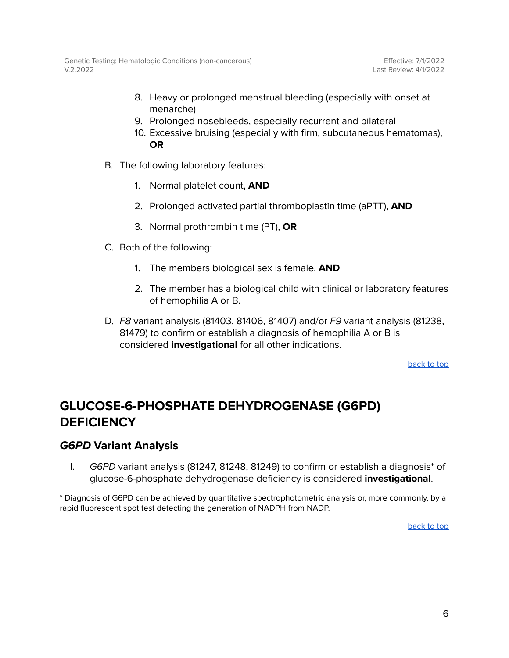- 8. Heavy or prolonged menstrual bleeding (especially with onset at menarche)
- 9. Prolonged nosebleeds, especially recurrent and bilateral
- 10. Excessive bruising (especially with firm, subcutaneous hematomas), **OR**
- B. The following laboratory features:
	- 1. Normal platelet count, **AND**
	- 2. Prolonged activated partial thromboplastin time (aPTT), **AND**
	- 3. Normal prothrombin time (PT), **OR**
- C. Both of the following:
	- 1. The members biological sex is female, **AND**
	- 2. The member has a biological child with clinical or laboratory features of hemophilia A or B.
- D. F8 variant analysis (81403, 81406, 81407) and/or F9 variant analysis (81238, 81479) to confirm or establish a diagnosis of hemophilia A or B is considered **investigational** for all other indications.

[back](#page-0-0) to top

### <span id="page-5-0"></span>**GLUCOSE-6-PHOSPHATE DEHYDROGENASE (G6PD) DEFICIENCY**

### <span id="page-5-1"></span>**G6PD Variant Analysis**

I. G6PD variant analysis (81247, 81248, 81249) to confirm or establish a diagnosis\* of glucose-6-phosphate dehydrogenase deficiency is considered **investigational**.

\* Diagnosis of G6PD can be achieved by quantitative spectrophotometric analysis or, more commonly, by a rapid fluorescent spot test detecting the generation of NADPH from NADP.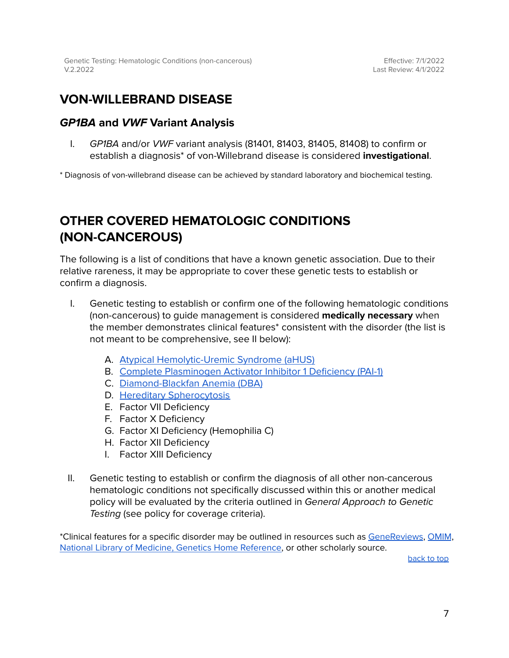### <span id="page-6-0"></span>**VON-WILLEBRAND DISEASE**

### <span id="page-6-1"></span>**GP1BA and VWF Variant Analysis**

I. GP1BA and/or VWF variant analysis (81401, 81403, 81405, 81408) to confirm or establish a diagnosis\* of von-Willebrand disease is considered **investigational**.

\* Diagnosis of von-willebrand disease can be achieved by standard laboratory and biochemical testing.

### <span id="page-6-2"></span>**OTHER COVERED HEMATOLOGIC CONDITIONS (NON-CANCEROUS)**

The following is a list of conditions that have a known genetic association. Due to their relative rareness, it may be appropriate to cover these genetic tests to establish or confirm a diagnosis.

- I. Genetic testing to establish or confirm one of the following hematologic conditions (non-cancerous) to guide management is considered **medically necessary** when the member demonstrates clinical features\* consistent with the disorder (the list is not meant to be comprehensive, see II below):
	- A. Atypical [Hemolytic-Uremic](https://www.ncbi.nlm.nih.gov/books/NBK1367/) Syndrome (aHUS)
	- B. Complete [Plasminogen](https://www.ncbi.nlm.nih.gov/books/NBK447152/) Activator Inhibitor 1 Deficiency (PAI-1)
	- C. [Diamond-Blackfan](https://www.ncbi.nlm.nih.gov/books/NBK7047/) Anemia (DBA)
	- D. Hereditary [Spherocytosis](https://www.ncbi.nlm.nih.gov/books/NBK190102/table/epb42-spherocytosis.T.classification_of/)
	- E. Factor VII Deficiency
	- F. Factor X Deficiency
	- G. Factor XI Deficiency (Hemophilia C)
	- H. Factor XII Deficiency
	- I. Factor XIII Deficiency
- II. Genetic testing to establish or confirm the diagnosis of all other non-cancerous hematologic conditions not specifically discussed within this or another medical policy will be evaluated by the criteria outlined in General Approach to Genetic Testing (see policy for coverage criteria).

\*Clinical features for a specific disorder may be outlined in resources such as [GeneReviews](https://www.ncbi.nlm.nih.gov/books/NBK1116/), [OMIM](https://www.omim.org/), National Library of Medicine, Genetics Home [Reference,](https://medlineplus.gov/genetics/) or other scholarly source.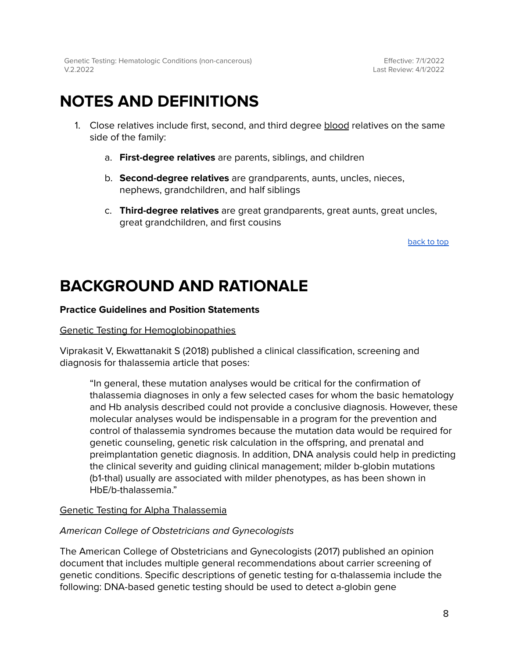Effective: 7/1/2022 Last Review: 4/1/2022

## **NOTES AND DEFINITIONS**

- 1. Close relatives include first, second, and third degree blood relatives on the same side of the family:
	- a. **First-degree relatives** are parents, siblings, and children
	- b. **Second-degree relatives** are grandparents, aunts, uncles, nieces, nephews, grandchildren, and half siblings
	- c. **Third-degree relatives** are great grandparents, great aunts, great uncles, great grandchildren, and first cousins

[back](#page-0-0) to top

## **BACKGROUND AND RATIONALE**

#### **Practice Guidelines and Position Statements**

#### Genetic Testing for Hemoglobinopathies

Viprakasit V, Ekwattanakit S (2018) published a clinical classification, screening and diagnosis for thalassemia article that poses:

"In general, these mutation analyses would be critical for the confirmation of thalassemia diagnoses in only a few selected cases for whom the basic hematology and Hb analysis described could not provide a conclusive diagnosis. However, these molecular analyses would be indispensable in a program for the prevention and control of thalassemia syndromes because the mutation data would be required for genetic counseling, genetic risk calculation in the offspring, and prenatal and preimplantation genetic diagnosis. In addition, DNA analysis could help in predicting the clinical severity and guiding clinical management; milder b-globin mutations (b1-thal) usually are associated with milder phenotypes, as has been shown in HbE/b-thalassemia."

#### Genetic Testing for Alpha Thalassemia

#### American College of Obstetricians and Gynecologists

The American College of Obstetricians and Gynecologists (2017) published an opinion document that includes multiple general recommendations about carrier screening of genetic conditions. Specific descriptions of genetic testing for α-thalassemia include the following: DNA-based genetic testing should be used to detect a-globin gene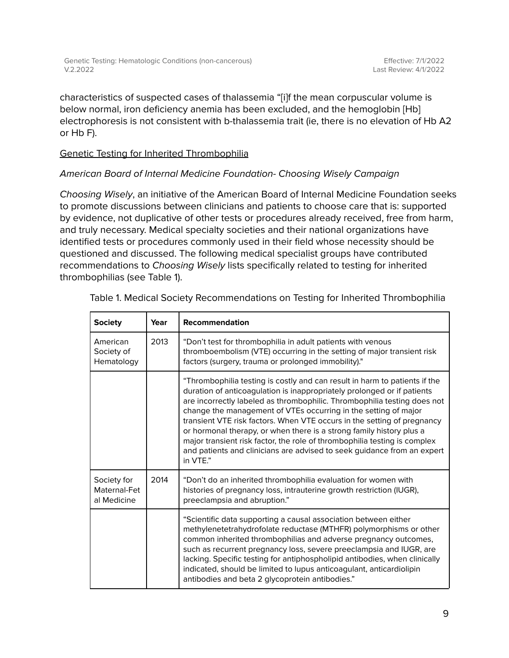characteristics of suspected cases of thalassemia "[i]f the mean corpuscular volume is below normal, iron deficiency anemia has been excluded, and the hemoglobin [Hb] electrophoresis is not consistent with b-thalassemia trait (ie, there is no elevation of Hb A2 or Hb F).

### Genetic Testing for Inherited Thrombophilia

### American Board of Internal Medicine Foundation- Choosing Wisely Campaign

Choosing Wisely, an initiative of the American Board of Internal Medicine Foundation seeks to promote discussions between clinicians and patients to choose care that is: supported by evidence, not duplicative of other tests or procedures already received, free from harm, and truly necessary. Medical specialty societies and their national organizations have identified tests or procedures commonly used in their field whose necessity should be questioned and discussed. The following medical specialist groups have contributed recommendations to Choosing Wisely lists specifically related to testing for inherited thrombophilias (see Table 1).

| <b>Society</b>                             | Year | <b>Recommendation</b>                                                                                                                                                                                                                                                                                                                                                                                                                                                                                                                                                                                                       |
|--------------------------------------------|------|-----------------------------------------------------------------------------------------------------------------------------------------------------------------------------------------------------------------------------------------------------------------------------------------------------------------------------------------------------------------------------------------------------------------------------------------------------------------------------------------------------------------------------------------------------------------------------------------------------------------------------|
| American<br>Society of<br>Hematology       | 2013 | "Don't test for thrombophilia in adult patients with venous<br>thromboembolism (VTE) occurring in the setting of major transient risk<br>factors (surgery, trauma or prolonged immobility)."                                                                                                                                                                                                                                                                                                                                                                                                                                |
|                                            |      | "Thrombophilia testing is costly and can result in harm to patients if the<br>duration of anticoagulation is inappropriately prolonged or if patients<br>are incorrectly labeled as thrombophilic. Thrombophilia testing does not<br>change the management of VTEs occurring in the setting of major<br>transient VTE risk factors. When VTE occurs in the setting of pregnancy<br>or hormonal therapy, or when there is a strong family history plus a<br>major transient risk factor, the role of thrombophilia testing is complex<br>and patients and clinicians are advised to seek guidance from an expert<br>in VTE." |
| Society for<br>Maternal-Fet<br>al Medicine | 2014 | "Don't do an inherited thrombophilia evaluation for women with<br>histories of pregnancy loss, intrauterine growth restriction (IUGR),<br>preeclampsia and abruption."                                                                                                                                                                                                                                                                                                                                                                                                                                                      |
|                                            |      | "Scientific data supporting a causal association between either<br>methylenetetrahydrofolate reductase (MTHFR) polymorphisms or other<br>common inherited thrombophilias and adverse pregnancy outcomes,<br>such as recurrent pregnancy loss, severe preeclampsia and IUGR, are<br>lacking. Specific testing for antiphospholipid antibodies, when clinically<br>indicated, should be limited to lupus anticoagulant, anticardiolipin<br>antibodies and beta 2 glycoprotein antibodies."                                                                                                                                    |

Table 1. Medical Society Recommendations on Testing for Inherited Thrombophilia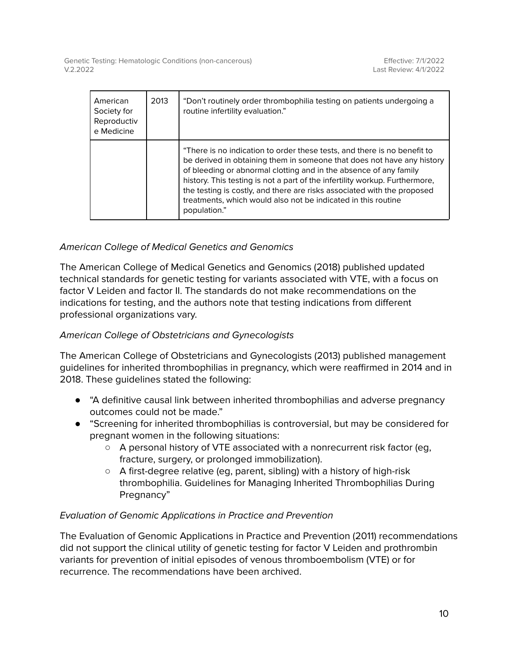| American<br>Society for<br>Reproductiv<br>e Medicine | 2013 | "Don't routinely order thrombophilia testing on patients undergoing a<br>routine infertility evaluation."                                                                                                                                                                                                                                                                                                                                                          |
|------------------------------------------------------|------|--------------------------------------------------------------------------------------------------------------------------------------------------------------------------------------------------------------------------------------------------------------------------------------------------------------------------------------------------------------------------------------------------------------------------------------------------------------------|
|                                                      |      | "There is no indication to order these tests, and there is no benefit to<br>be derived in obtaining them in someone that does not have any history<br>of bleeding or abnormal clotting and in the absence of any family<br>history. This testing is not a part of the infertility workup. Furthermore,<br>the testing is costly, and there are risks associated with the proposed<br>treatments, which would also not be indicated in this routine<br>population." |

### American College of Medical Genetics and Genomics

The American College of Medical Genetics and Genomics (2018) published updated technical standards for genetic testing for variants associated with VTE, with a focus on factor V Leiden and factor II. The standards do not make recommendations on the indications for testing, and the authors note that testing indications from different professional organizations vary.

### American College of Obstetricians and Gynecologists

The American College of Obstetricians and Gynecologists (2013) published management guidelines for inherited thrombophilias in pregnancy, which were reaffirmed in 2014 and in 2018. These guidelines stated the following:

- "A definitive causal link between inherited thrombophilias and adverse pregnancy outcomes could not be made."
- "Screening for inherited thrombophilias is controversial, but may be considered for pregnant women in the following situations:
	- A personal history of VTE associated with a nonrecurrent risk factor (eg, fracture, surgery, or prolonged immobilization).
	- A first-degree relative (eg, parent, sibling) with a history of high-risk thrombophilia. Guidelines for Managing Inherited Thrombophilias During Pregnancy"

### Evaluation of Genomic Applications in Practice and Prevention

The Evaluation of Genomic Applications in Practice and Prevention (2011) recommendations did not support the clinical utility of genetic testing for factor V Leiden and prothrombin variants for prevention of initial episodes of venous thromboembolism (VTE) or for recurrence. The recommendations have been archived.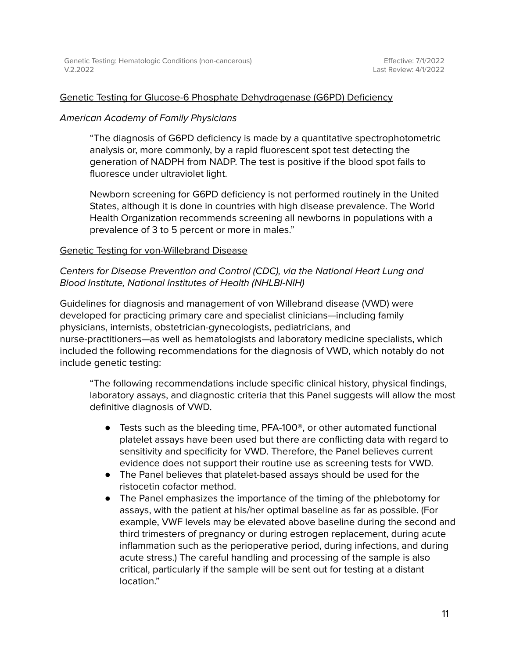#### Genetic Testing for Glucose-6 Phosphate Dehydrogenase (G6PD) Deficiency

#### American Academy of Family Physicians

"The diagnosis of G6PD deficiency is made by a quantitative spectrophotometric analysis or, more commonly, by a rapid fluorescent spot test detecting the generation of NADPH from NADP. The test is positive if the blood spot fails to fluoresce under ultraviolet light.

Newborn screening for G6PD deficiency is not performed routinely in the United States, although it is done in countries with high disease prevalence. The World Health Organization recommends screening all newborns in populations with a prevalence of 3 to 5 percent or more in males."

#### Genetic Testing for von-Willebrand Disease

### Centers for Disease Prevention and Control (CDC), via the National Heart Lung and Blood Institute, National Institutes of Health (NHLBI-NIH)

Guidelines for diagnosis and management of von Willebrand disease (VWD) were developed for practicing primary care and specialist clinicians—including family physicians, internists, obstetrician-gynecologists, pediatricians, and nurse-practitioners—as well as hematologists and laboratory medicine specialists, which included the following recommendations for the diagnosis of VWD, which notably do not include genetic testing:

"The following recommendations include specific clinical history, physical findings, laboratory assays, and diagnostic criteria that this Panel suggests will allow the most definitive diagnosis of VWD.

- Tests such as the bleeding time, PFA-100<sup>®</sup>, or other automated functional platelet assays have been used but there are conflicting data with regard to sensitivity and specificity for VWD. Therefore, the Panel believes current evidence does not support their routine use as screening tests for VWD.
- The Panel believes that platelet-based assays should be used for the ristocetin cofactor method.
- The Panel emphasizes the importance of the timing of the phlebotomy for assays, with the patient at his/her optimal baseline as far as possible. (For example, VWF levels may be elevated above baseline during the second and third trimesters of pregnancy or during estrogen replacement, during acute inflammation such as the perioperative period, during infections, and during acute stress.) The careful handling and processing of the sample is also critical, particularly if the sample will be sent out for testing at a distant location."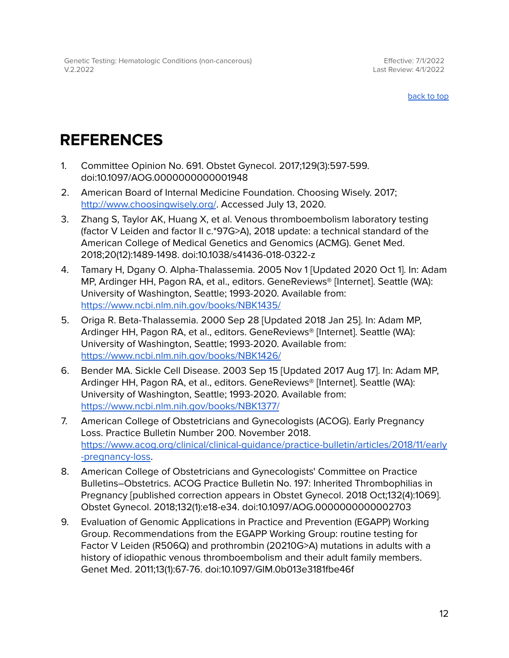Effective: 7/1/2022 Last Review: 4/1/2022

[back](#page-0-0) to top

## <span id="page-11-0"></span>**REFERENCES**

- 1. Committee Opinion No. 691. Obstet Gynecol. 2017;129(3):597-599. doi:10.1097/AOG.0000000000001948
- 2. American Board of Internal Medicine Foundation. Choosing Wisely. 2017; <http://www.choosingwisely.org/>. Accessed July 13, 2020.
- 3. Zhang S, Taylor AK, Huang X, et al. Venous thromboembolism laboratory testing (factor V Leiden and factor II c.\*97G>A), 2018 update: a technical standard of the American College of Medical Genetics and Genomics (ACMG). Genet Med. 2018;20(12):1489-1498. doi:10.1038/s41436-018-0322-z
- 4. Tamary H, Dgany O. Alpha-Thalassemia. 2005 Nov 1 [Updated 2020 Oct 1]. In: Adam MP, Ardinger HH, Pagon RA, et al., editors. GeneReviews® [Internet]. Seattle (WA): University of Washington, Seattle; 1993-2020. Available from: <https://www.ncbi.nlm.nih.gov/books/NBK1435/>
- 5. Origa R. Beta-Thalassemia. 2000 Sep 28 [Updated 2018 Jan 25]. In: Adam MP, Ardinger HH, Pagon RA, et al., editors. GeneReviews® [Internet]. Seattle (WA): University of Washington, Seattle; 1993-2020. Available from: <https://www.ncbi.nlm.nih.gov/books/NBK1426/>
- 6. Bender MA. Sickle Cell Disease. 2003 Sep 15 [Updated 2017 Aug 17]. In: Adam MP, Ardinger HH, Pagon RA, et al., editors. GeneReviews® [Internet]. Seattle (WA): University of Washington, Seattle; 1993-2020. Available from: <https://www.ncbi.nlm.nih.gov/books/NBK1377/>
- 7. American College of Obstetricians and Gynecologists (ACOG). Early Pregnancy Loss. Practice Bulletin Number 200. November 2018. [https://www.acog.org/clinical/clinical-guidance/practice-bulletin/articles/2018/11/early](https://www.acog.org/clinical/clinical-guidance/practice-bulletin/articles/2018/11/early-pregnancy-loss) [-pregnancy-loss](https://www.acog.org/clinical/clinical-guidance/practice-bulletin/articles/2018/11/early-pregnancy-loss).
- 8. American College of Obstetricians and Gynecologists' Committee on Practice Bulletins–Obstetrics. ACOG Practice Bulletin No. 197: Inherited Thrombophilias in Pregnancy [published correction appears in Obstet Gynecol. 2018 Oct;132(4):1069]. Obstet Gynecol. 2018;132(1):e18-e34. doi:10.1097/AOG.0000000000002703
- 9. Evaluation of Genomic Applications in Practice and Prevention (EGAPP) Working Group. Recommendations from the EGAPP Working Group: routine testing for Factor V Leiden (R506Q) and prothrombin (20210G>A) mutations in adults with a history of idiopathic venous thromboembolism and their adult family members. Genet Med. 2011;13(1):67-76. doi:10.1097/GIM.0b013e3181fbe46f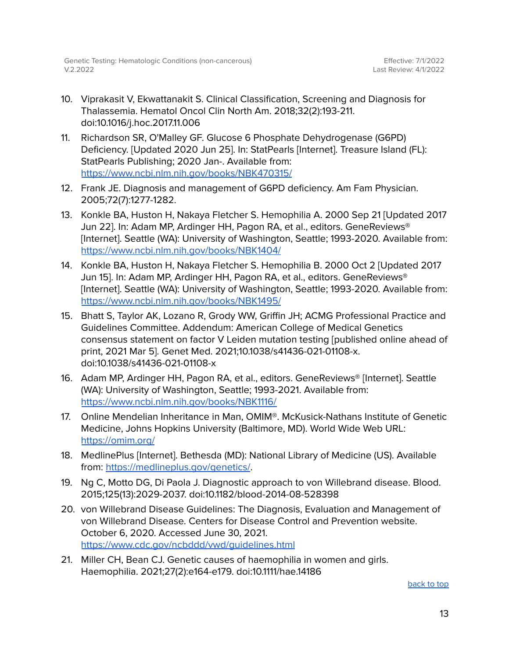- 10. Viprakasit V, Ekwattanakit S. Clinical Classification, Screening and Diagnosis for Thalassemia. Hematol Oncol Clin North Am. 2018;32(2):193-211. doi:10.1016/j.hoc.2017.11.006
- 11. Richardson SR, O'Malley GF. Glucose 6 Phosphate Dehydrogenase (G6PD) Deficiency. [Updated 2020 Jun 25]. In: StatPearls [Internet]. Treasure Island (FL): StatPearls Publishing; 2020 Jan-. Available from: <https://www.ncbi.nlm.nih.gov/books/NBK470315/>
- 12. Frank JE. Diagnosis and management of G6PD deficiency. Am Fam Physician. 2005;72(7):1277-1282.
- 13. Konkle BA, Huston H, Nakaya Fletcher S. Hemophilia A. 2000 Sep 21 [Updated 2017 Jun 22]. In: Adam MP, Ardinger HH, Pagon RA, et al., editors. GeneReviews® [Internet]. Seattle (WA): University of Washington, Seattle; 1993-2020. Available from: <https://www.ncbi.nlm.nih.gov/books/NBK1404/>
- 14. Konkle BA, Huston H, Nakaya Fletcher S. Hemophilia B. 2000 Oct 2 [Updated 2017 Jun 15]. In: Adam MP, Ardinger HH, Pagon RA, et al., editors. GeneReviews® [Internet]. Seattle (WA): University of Washington, Seattle; 1993-2020. Available from: <https://www.ncbi.nlm.nih.gov/books/NBK1495/>
- 15. Bhatt S, Taylor AK, Lozano R, Grody WW, Griffin JH; ACMG Professional Practice and Guidelines Committee. Addendum: American College of Medical Genetics consensus statement on factor V Leiden mutation testing [published online ahead of print, 2021 Mar 5]. Genet Med. 2021;10.1038/s41436-021-01108-x. doi:10.1038/s41436-021-01108-x
- 16. Adam MP, Ardinger HH, Pagon RA, et al., editors. GeneReviews® [Internet]. Seattle (WA): University of Washington, Seattle; 1993-2021. Available from: <https://www.ncbi.nlm.nih.gov/books/NBK1116/>
- 17. Online Mendelian Inheritance in Man, OMIM®. McKusick-Nathans Institute of Genetic Medicine, Johns Hopkins University (Baltimore, MD). World Wide Web URL: <https://omim.org/>
- 18. MedlinePlus [Internet]. Bethesda (MD): National Library of Medicine (US). Available from: <https://medlineplus.gov/genetics/>.
- 19. Ng C, Motto DG, Di Paola J. Diagnostic approach to von Willebrand disease. Blood. 2015;125(13):2029-2037. doi:10.1182/blood-2014-08-528398
- 20. von Willebrand Disease Guidelines: The Diagnosis, Evaluation and Management of von Willebrand Disease. Centers for Disease Control and Prevention website. October 6, 2020. Accessed June 30, 2021. <https://www.cdc.gov/ncbddd/vwd/guidelines.html>
- 21. Miller CH, Bean CJ. Genetic causes of haemophilia in women and girls. Haemophilia. 2021;27(2):e164-e179. doi:10.1111/hae.14186